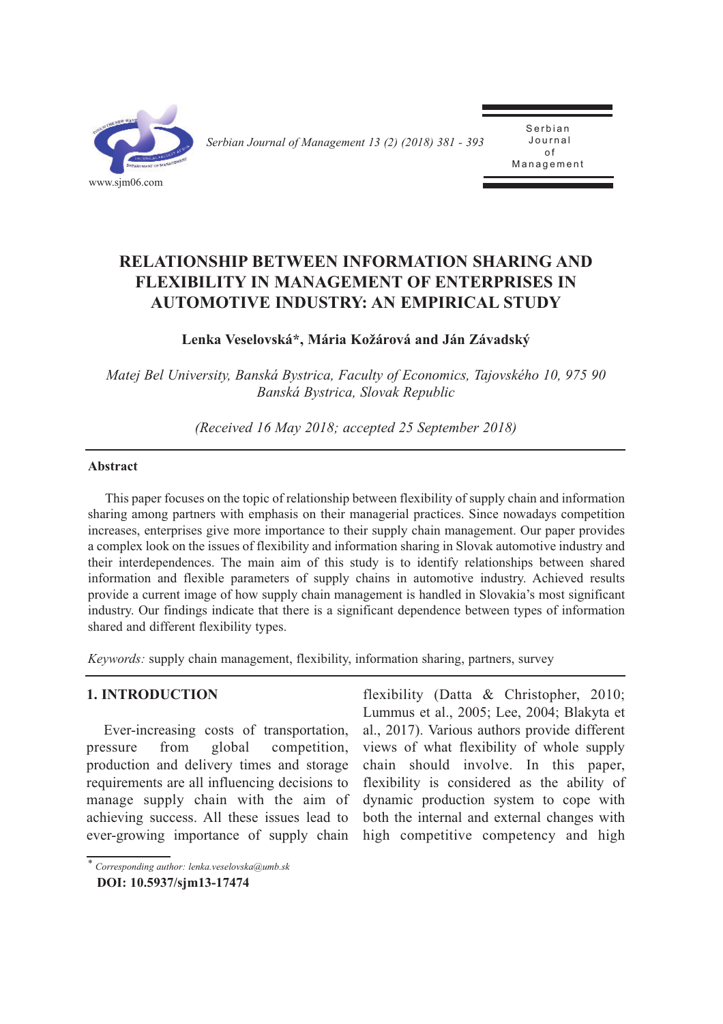

*Serbian Journal of Management 13 (2) (2018) 381 - 393* 

**Serbian** J o u r n a l o f **Management** 

# **RELATioNSHiP BETWEEN iNFoRMATioN SHARiNG ANd FLEXiBiLiTY iN MANAGEMENT oF ENTERPRiSES iN AUToMoTiVE iNdUSTRY: AN EMPiRiCAL STUdY**

## **Lenka Veselovská\*, Mária Kožárová and Ján Závadský**

*Matej Bel University, Banská Bystrica, Faculty of Economics, Tajovského 10, 975 90 Banská Bystrica, Slovak Republic*

*(Received 16 May 2018; accepted 25 September 2018)*

#### **Abstract**

This paper focuses on the topic of relationship between flexibility of supply chain and information sharing among partners with emphasis on their managerial practices. Since nowadays competition increases, enterprises give more importance to their supply chain management. Our paper provides a complex look on the issues of flexibility and information sharing in Slovak automotive industry and their interdependences. The main aim of this study is to identify relationships between shared information and flexible parameters of supply chains in automotive industry. Achieved results provide a current image of how supply chain management is handled in Slovakia's most significant industry. Our findings indicate that there is a significant dependence between types of information shared and different flexibility types.

*Keywords:* supply chain management, flexibility, information sharing, partners, survey

### **1. iNTRodUCTioN**

Ever-increasing costs of transportation, pressure from global competition, production and delivery times and storage requirements are all influencing decisions to manage supply chain with the aim of achieving success. All these issues lead to ever-growing importance of supply chain

flexibility (Datta & Christopher, 2010; Lummus et al., 2005; Lee, 2004; Blakyta et al., 2017). Various authors provide different views of what flexibility of whole supply chain should involve. In this paper, flexibility is considered as the ability of dynamic production system to cope with both the internal and external changes with high competitive competency and high

*<sup>\*</sup> Corresponding author: lenka.veselovska@umb.sk*

**doi: 10.5937/sjm13-17474**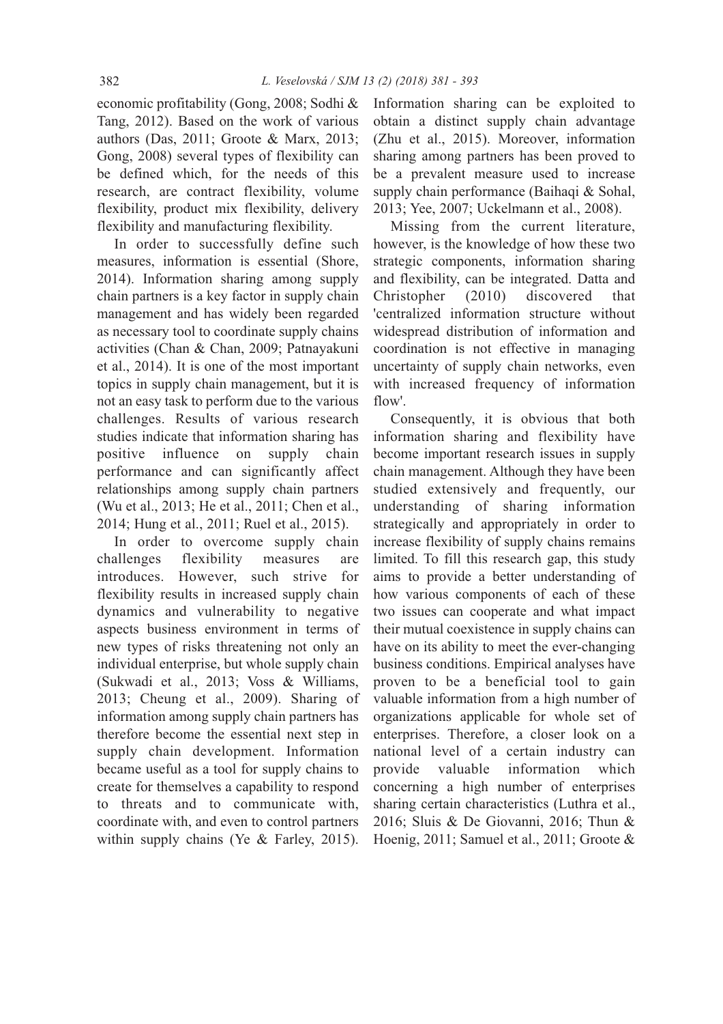economic profitability (Gong, 2008; Sodhi & Tang, 2012). Based on the work of various authors (Das, 2011; Groote & Marx, 2013; Gong, 2008) several types of flexibility can be defined which, for the needs of this research, are contract flexibility, volume flexibility, product mix flexibility, delivery flexibility and manufacturing flexibility.

In order to successfully define such measures, information is essential (Shore, 2014). Information sharing among supply chain partners is a key factor in supply chain management and has widely been regarded as necessary tool to coordinate supply chains activities (Chan & Chan, 2009; Patnayakuni et al., 2014). It is one of the most important topics in supply chain management, but it is not an easy task to perform due to the various challenges. Results of various research studies indicate that information sharing has positive influence on supply chain performance and can significantly affect relationships among supply chain partners (Wu et al., 2013; He et al., 2011; Chen et al., 2014; Hung et al., 2011; Ruel et al., 2015).

In order to overcome supply chain challenges flexibility measures are introduces. However, such strive for flexibility results in increased supply chain dynamics and vulnerability to negative aspects business environment in terms of new types of risks threatening not only an individual enterprise, but whole supply chain (Sukwadi et al., 2013; Voss & Williams, 2013; Cheung et al., 2009). Sharing of information among supply chain partners has therefore become the essential next step in supply chain development. Information became useful as a tool for supply chains to create for themselves a capability to respond to threats and to communicate with, coordinate with, and even to control partners within supply chains (Ye & Farley, 2015). Information sharing can be exploited to obtain a distinct supply chain advantage (Zhu et al., 2015). Moreover, information sharing among partners has been proved to be a prevalent measure used to increase supply chain performance (Baihaqi & Sohal, 2013; Yee, 2007; Uckelmann et al., 2008).

Missing from the current literature, however, is the knowledge of how these two strategic components, information sharing and flexibility, can be integrated. Datta and Christopher (2010) discovered that 'centralized information structure without widespread distribution of information and coordination is not effective in managing uncertainty of supply chain networks, even with increased frequency of information flow'.

Consequently, it is obvious that both information sharing and flexibility have become important research issues in supply chain management. Although they have been studied extensively and frequently, our understanding of sharing information strategically and appropriately in order to increase flexibility of supply chains remains limited. To fill this research gap, this study aims to provide a better understanding of how various components of each of these two issues can cooperate and what impact their mutual coexistence in supply chains can have on its ability to meet the ever-changing business conditions. Empirical analyses have proven to be a beneficial tool to gain valuable information from a high number of organizations applicable for whole set of enterprises. Therefore, a closer look on a national level of a certain industry can provide valuable information which concerning a high number of enterprises sharing certain characteristics (Luthra et al., 2016; Sluis & De Giovanni, 2016; Thun & Hoenig, 2011; Samuel et al., 2011; Groote &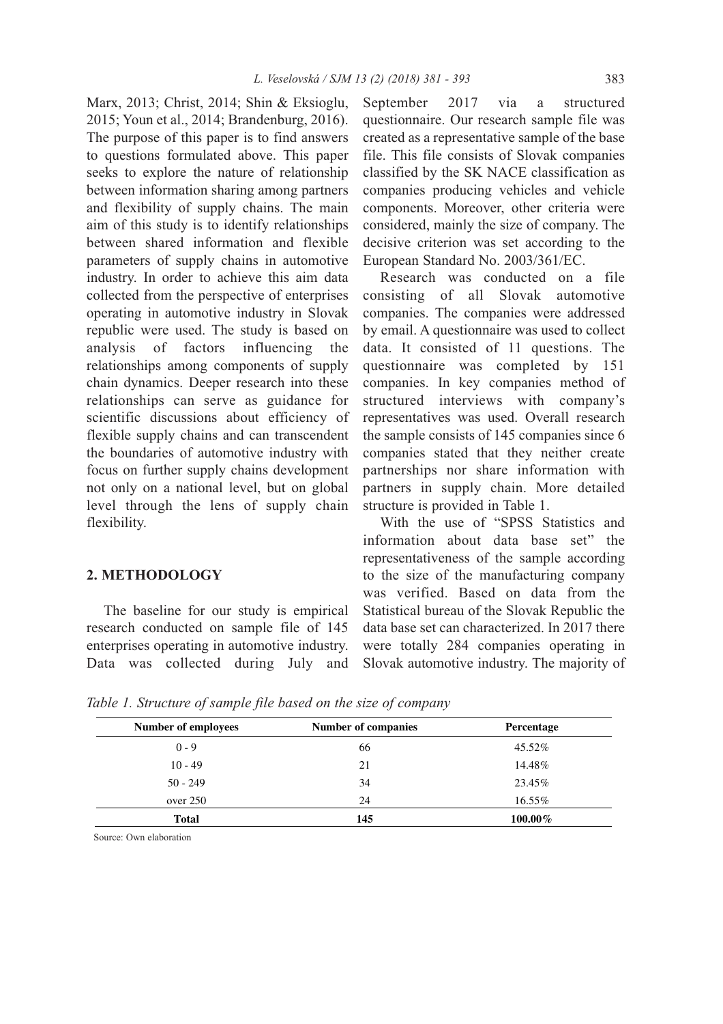Marx, 2013; Christ, 2014; Shin & Eksioglu, 2015; Youn et al., 2014; Brandenburg, 2016). The purpose of this paper is to find answers to questions formulated above. This paper seeks to explore the nature of relationship between information sharing among partners and flexibility of supply chains. The main aim of this study is to identify relationships between shared information and flexible parameters of supply chains in automotive industry. In order to achieve this aim data collected from the perspective of enterprises operating in automotive industry in Slovak republic were used. The study is based on analysis of factors influencing the relationships among components of supply chain dynamics. Deeper research into these relationships can serve as guidance for scientific discussions about efficiency of flexible supply chains and can transcendent the boundaries of automotive industry with focus on further supply chains development not only on a national level, but on global level through the lens of supply chain flexibility.

### **2. METHodoLoGY**

The baseline for our study is empirical research conducted on sample file of 145 enterprises operating in automotive industry. Data was collected during July and September 2017 via a structured questionnaire. Our research sample file was created as a representative sample of the base file. This file consists of Slovak companies classified by the SK NACE classification as companies producing vehicles and vehicle components. Moreover, other criteria were considered, mainly the size of company. The decisive criterion was set according to the European Standard No. 2003/361/EC.

Research was conducted on a file consisting of all Slovak automotive companies. The companies were addressed by email. A questionnaire was used to collect data. It consisted of 11 questions. The questionnaire was completed by 151 companies. In key companies method of structured interviews with company's representatives was used. Overall research the sample consists of 145 companies since 6 companies stated that they neither create partnerships nor share information with partners in supply chain. More detailed structure is provided in Table 1.

With the use of "SPSS Statistics and information about data base set" the representativeness of the sample according to the size of the manufacturing company was verified. Based on data from the Statistical bureau of the Slovak Republic the data base set can characterized. In 2017 there were totally 284 companies operating in Slovak automotive industry. The majority of

| <b>Number of employees</b> | Number of companies | Percentage |  |
|----------------------------|---------------------|------------|--|
| $0 - 9$                    | 66                  | 45.52%     |  |
| $10 - 49$                  | 21                  | 14.48%     |  |
| $50 - 249$                 | 34                  | 23.45%     |  |
| over 250                   | 24                  | 16.55%     |  |
| Total                      | 145                 | $100.00\%$ |  |

*Table 1. Structure of sample file based on the size of company*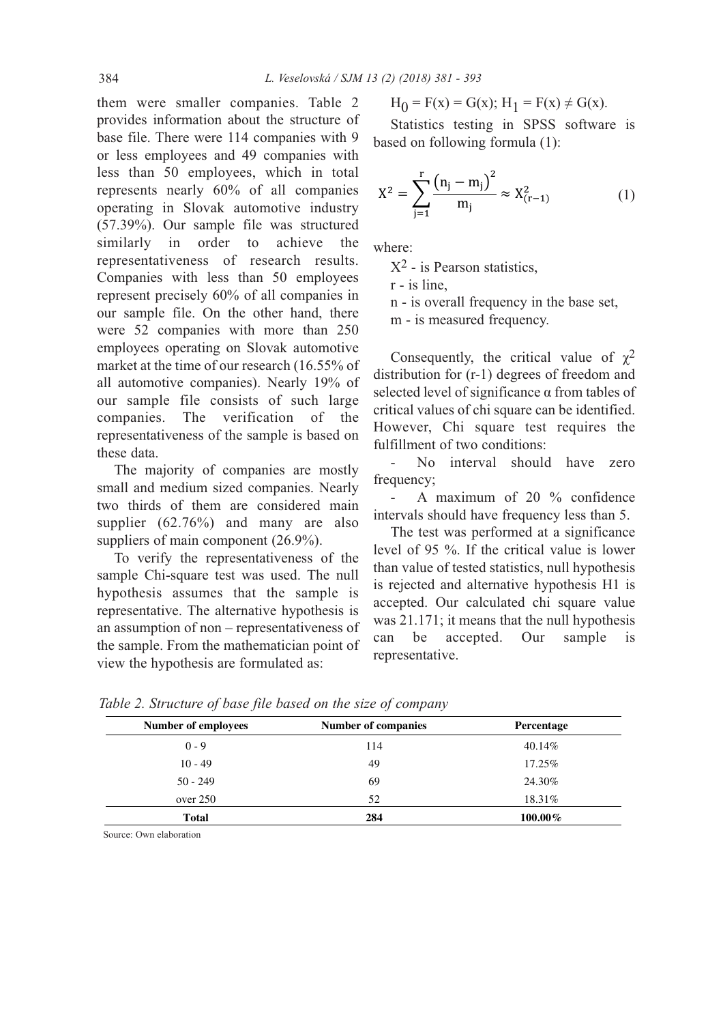them were smaller companies. Table 2 provides information about the structure of base file. There were 114 companies with 9 or less employees and 49 companies with less than 50 employees, which in total represents nearly 60% of all companies operating in Slovak automotive industry (57.39%). Our sample file was structured similarly in order to achieve the representativeness of research results. Companies with less than 50 employees represent precisely 60% of all companies in our sample file. On the other hand, there were 52 companies with more than 250 employees operating on Slovak automotive market at the time of our research (16.55% of all automotive companies). Nearly 19% of our sample file consists of such large companies. The verification of the representativeness of the sample is based on these data.

The majority of companies are mostly small and medium sized companies. Nearly two thirds of them are considered main supplier (62.76%) and many are also suppliers of main component (26.9%).

To verify the representativeness of the sample Chi-square test was used. The null hypothesis assumes that the sample is representative. The alternative hypothesis is an assumption of non – representativeness of the sample. From the mathematician point of view the hypothesis are formulated as:

$$
H_0 = F(x) = G(x); H_1 = F(x) \neq G(x).
$$

Statistics testing in SPSS software is based on following formula (1):

$$
X^{2} = \sum_{j=1}^{r} \frac{(n_{j} - m_{j})^{2}}{m_{j}} \approx X_{(r-1)}^{2}
$$
 (1)

where:

 $X^2$  - is Pearson statistics,

r - is line,

n - is overall frequency in the base set,

m - is measured frequency.

Consequently, the critical value of  $\chi^2$ distribution for (r-1) degrees of freedom and selected level of significance α from tables of critical values of chi square can be identified. However, Chi square test requires the fulfillment of two conditions:

No interval should have zero frequency;

A maximum of 20 % confidence intervals should have frequency less than 5.

The test was performed at a significance level of 95 %. If the critical value is lower than value of tested statistics, null hypothesis is rejected and alternative hypothesis H1 is accepted. Our calculated chi square value was 21.171; it means that the null hypothesis can be accepted. Our sample is representative.

| Number of employees | <b>Number of companies</b> | <b>Percentage</b> |  |
|---------------------|----------------------------|-------------------|--|
| $0 - 9$             | 114                        | 40.14%            |  |
| $10 - 49$           | 49                         | 17.25%            |  |
| $50 - 249$          | 69                         | 24.30%            |  |
| over 250            | 52                         | 18.31%            |  |
| <b>Total</b>        | 284                        | $100.00\%$        |  |

*Table 2. Structure of base file based on the size of company*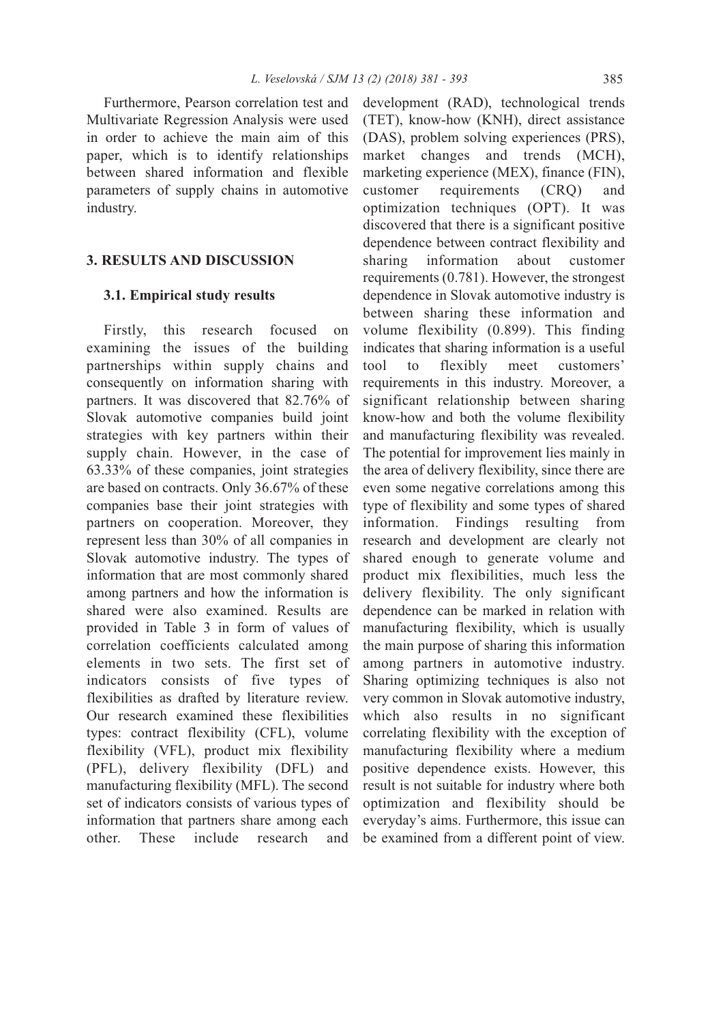Furthermore, Pearson correlation test and Multivariate Regression Analysis were used in order to achieve the main aim of this paper, which is to identify relationships between shared information and flexible parameters of supply chains in automotive industry.

#### **3. RESULTS ANd diSCUSSioN**

#### **3.1. Empirical study results**

Firstly, this research focused on examining the issues of the building partnerships within supply chains and consequently on information sharing with partners. It was discovered that 82.76% of Slovak automotive companies build joint strategies with key partners within their supply chain. However, in the case of 63.33% of these companies, joint strategies are based on contracts. Only 36.67% of these companies base their joint strategies with partners on cooperation. Moreover, they represent less than 30% of all companies in Slovak automotive industry. The types of information that are most commonly shared among partners and how the information is shared were also examined. Results are provided in Table 3 in form of values of correlation coefficients calculated among elements in two sets. The first set of indicators consists of five types of flexibilities as drafted by literature review. Our research examined these flexibilities types: contract flexibility (CFL), volume flexibility (VFL), product mix flexibility (PFL), delivery flexibility (DFL) and manufacturing flexibility (MFL). The second set of indicators consists of various types of information that partners share among each other. These include research and

development (RAD), technological trends (TET), know-how (KNH), direct assistance (DAS), problem solving experiences (PRS), market changes and trends (MCH), marketing experience (MEX), finance (FIN), customer requirements (CRQ) and optimization techniques (OPT). It was discovered that there is a significant positive dependence between contract flexibility and sharing information about customer requirements (0.781). However, the strongest dependence in Slovak automotive industry is between sharing these information and volume flexibility (0.899). This finding indicates that sharing information is a useful tool to flexibly meet customers' requirements in this industry. Moreover, a significant relationship between sharing know-how and both the volume flexibility and manufacturing flexibility was revealed. The potential for improvement lies mainly in the area of delivery flexibility, since there are even some negative correlations among this type of flexibility and some types of shared information. Findings resulting from research and development are clearly not shared enough to generate volume and product mix flexibilities, much less the delivery flexibility. The only significant dependence can be marked in relation with manufacturing flexibility, which is usually the main purpose of sharing this information among partners in automotive industry. Sharing optimizing techniques is also not very common in Slovak automotive industry, which also results in no significant correlating flexibility with the exception of manufacturing flexibility where a medium positive dependence exists. However, this result is not suitable for industry where both optimization and flexibility should be everyday's aims. Furthermore, this issue can be examined from a different point of view.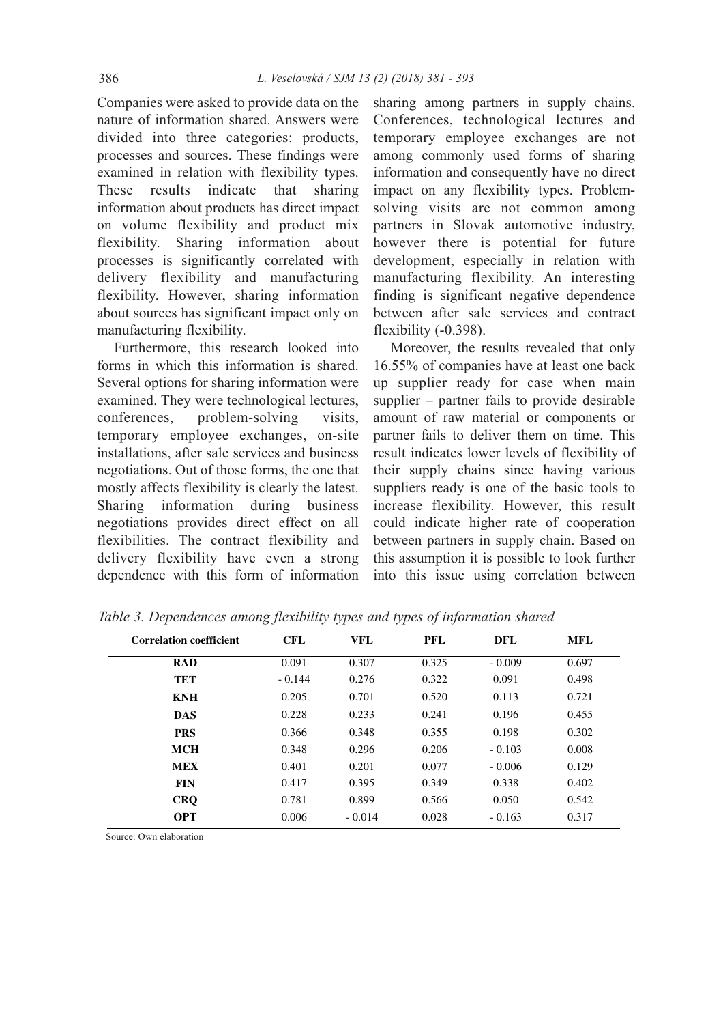Companies were asked to provide data on the nature of information shared. Answers were divided into three categories: products, processes and sources. These findings were examined in relation with flexibility types. These results indicate that sharing information about products has direct impact on volume flexibility and product mix flexibility. Sharing information about processes is significantly correlated with delivery flexibility and manufacturing flexibility. However, sharing information about sources has significant impact only on manufacturing flexibility.

Furthermore, this research looked into forms in which this information is shared. Several options for sharing information were examined. They were technological lectures, conferences, problem-solving visits, temporary employee exchanges, on-site installations, after sale services and business negotiations. Out of those forms, the one that mostly affects flexibility is clearly the latest. Sharing information during business negotiations provides direct effect on all flexibilities. The contract flexibility and delivery flexibility have even a strong dependence with this form of information

sharing among partners in supply chains. Conferences, technological lectures and temporary employee exchanges are not among commonly used forms of sharing information and consequently have no direct impact on any flexibility types. Problemsolving visits are not common among partners in Slovak automotive industry, however there is potential for future development, especially in relation with manufacturing flexibility. An interesting finding is significant negative dependence between after sale services and contract flexibility (-0.398).

Moreover, the results revealed that only 16.55% of companies have at least one back up supplier ready for case when main supplier – partner fails to provide desirable amount of raw material or components or partner fails to deliver them on time. This result indicates lower levels of flexibility of their supply chains since having various suppliers ready is one of the basic tools to increase flexibility. However, this result could indicate higher rate of cooperation between partners in supply chain. Based on this assumption it is possible to look further into this issue using correlation between

| <b>Correlation coefficient</b> | <b>CFL</b> | <b>VFL</b> | <b>PFL</b> | <b>DFL</b> | <b>MFL</b> |
|--------------------------------|------------|------------|------------|------------|------------|
| <b>RAD</b>                     | 0.091      | 0.307      | 0.325      | $-0.009$   | 0.697      |
| TET                            | $-0.144$   | 0.276      | 0.322      | 0.091      | 0.498      |
| <b>KNH</b>                     | 0.205      | 0.701      | 0.520      | 0.113      | 0.721      |
| <b>DAS</b>                     | 0.228      | 0.233      | 0.241      | 0.196      | 0.455      |
| <b>PRS</b>                     | 0.366      | 0.348      | 0.355      | 0.198      | 0.302      |
| <b>MCH</b>                     | 0.348      | 0.296      | 0.206      | $-0.103$   | 0.008      |
| <b>MEX</b>                     | 0.401      | 0.201      | 0.077      | $-0.006$   | 0.129      |
| <b>FIN</b>                     | 0.417      | 0.395      | 0.349      | 0.338      | 0.402      |
| <b>CRQ</b>                     | 0.781      | 0.899      | 0.566      | 0.050      | 0.542      |
| <b>OPT</b>                     | 0.006      | $-0.014$   | 0.028      | $-0.163$   | 0.317      |

*Table 3. Dependences among flexibility types and types of information shared*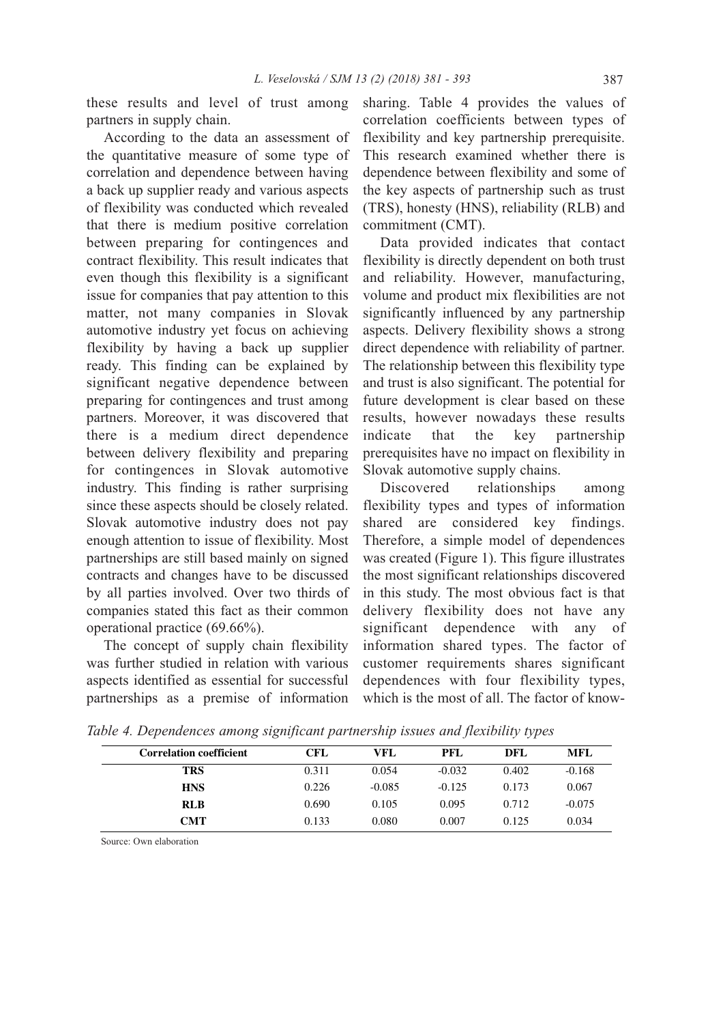these results and level of trust among partners in supply chain.

According to the data an assessment of the quantitative measure of some type of correlation and dependence between having a back up supplier ready and various aspects of flexibility was conducted which revealed that there is medium positive correlation between preparing for contingences and contract flexibility. This result indicates that even though this flexibility is a significant issue for companies that pay attention to this matter, not many companies in Slovak automotive industry yet focus on achieving flexibility by having a back up supplier ready. This finding can be explained by significant negative dependence between preparing for contingences and trust among partners. Moreover, it was discovered that there is a medium direct dependence between delivery flexibility and preparing for contingences in Slovak automotive industry. This finding is rather surprising since these aspects should be closely related. Slovak automotive industry does not pay enough attention to issue of flexibility. Most partnerships are still based mainly on signed contracts and changes have to be discussed by all parties involved. Over two thirds of companies stated this fact as their common operational practice (69.66%).

The concept of supply chain flexibility was further studied in relation with various aspects identified as essential for successful partnerships as a premise of information sharing. Table 4 provides the values of correlation coefficients between types of flexibility and key partnership prerequisite. This research examined whether there is dependence between flexibility and some of the key aspects of partnership such as trust (TRS), honesty (HNS), reliability (RLB) and commitment (CMT).

Data provided indicates that contact flexibility is directly dependent on both trust and reliability. However, manufacturing, volume and product mix flexibilities are not significantly influenced by any partnership aspects. Delivery flexibility shows a strong direct dependence with reliability of partner. The relationship between this flexibility type and trust is also significant. The potential for future development is clear based on these results, however nowadays these results indicate that the key partnership prerequisites have no impact on flexibility in Slovak automotive supply chains.

Discovered relationships among flexibility types and types of information shared are considered key findings. Therefore, a simple model of dependences was created (Figure 1). This figure illustrates the most significant relationships discovered in this study. The most obvious fact is that delivery flexibility does not have any significant dependence with any of information shared types. The factor of customer requirements shares significant dependences with four flexibility types, which is the most of all. The factor of know-

| <b>Correlation coefficient</b> | <b>CFL</b> | VFL      | <b>PFL</b> | DFL   | <b>MFL</b> |
|--------------------------------|------------|----------|------------|-------|------------|
| <b>TRS</b>                     | 0.311      | 0.054    | $-0.032$   | 0.402 | $-0.168$   |
| <b>HNS</b>                     | 0.226      | $-0.085$ | $-0.125$   | 0.173 | 0.067      |
| <b>RLB</b>                     | 0.690      | 0.105    | 0.095      | 0.712 | $-0.075$   |
| <b>CMT</b>                     | 0.133      | 0.080    | 0.007      | 0.125 | 0.034      |

*Table 4. Dependences among significant partnership issues and flexibility types*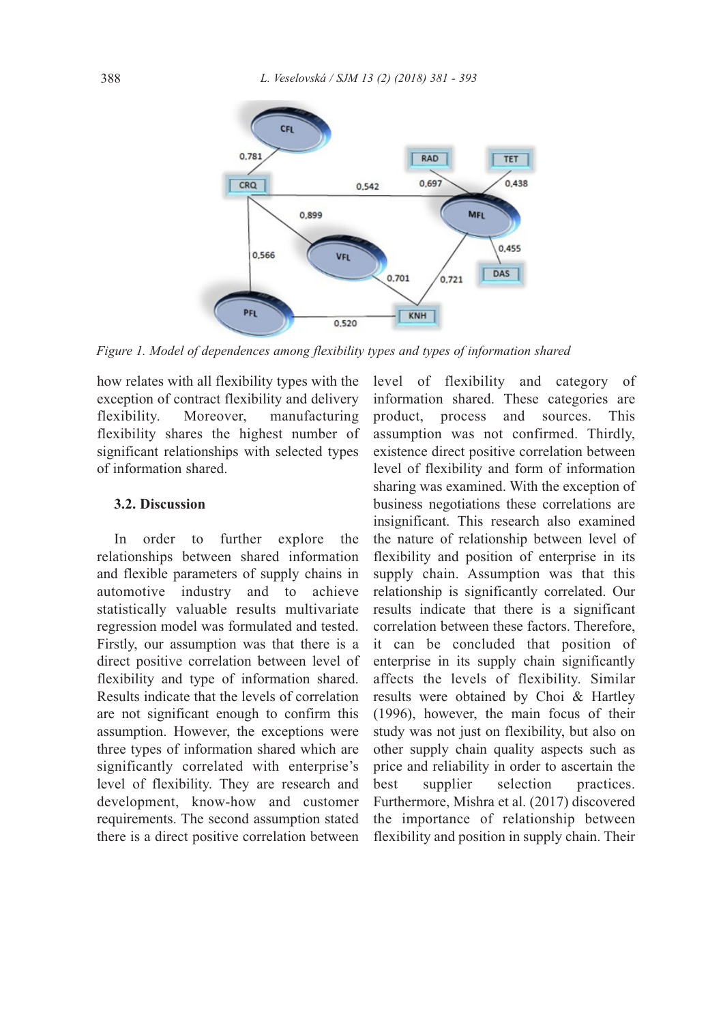

*Figure 1. Model of dependences among flexibility types and types of information shared*

how relates with all flexibility types with the exception of contract flexibility and delivery flexibility. Moreover, manufacturing flexibility shares the highest number of significant relationships with selected types of information shared.

### **3.2. Discussion**

In order to further explore the relationships between shared information and flexible parameters of supply chains in automotive industry and to achieve statistically valuable results multivariate regression model was formulated and tested. Firstly, our assumption was that there is a direct positive correlation between level of flexibility and type of information shared. Results indicate that the levels of correlation are not significant enough to confirm this assumption. However, the exceptions were three types of information shared which are significantly correlated with enterprise's level of flexibility. They are research and development, know-how and customer requirements. The second assumption stated there is a direct positive correlation between

level of flexibility and category of information shared. These categories are product, process and sources. This assumption was not confirmed. Thirdly, existence direct positive correlation between level of flexibility and form of information sharing was examined. With the exception of business negotiations these correlations are insignificant. This research also examined the nature of relationship between level of flexibility and position of enterprise in its supply chain. Assumption was that this relationship is significantly correlated. Our results indicate that there is a significant correlation between these factors. Therefore, it can be concluded that position of enterprise in its supply chain significantly affects the levels of flexibility. Similar results were obtained by Choi & Hartley (1996), however, the main focus of their study was not just on flexibility, but also on other supply chain quality aspects such as price and reliability in order to ascertain the best supplier selection practices. Furthermore, Mishra et al. (2017) discovered the importance of relationship between flexibility and position in supply chain. Their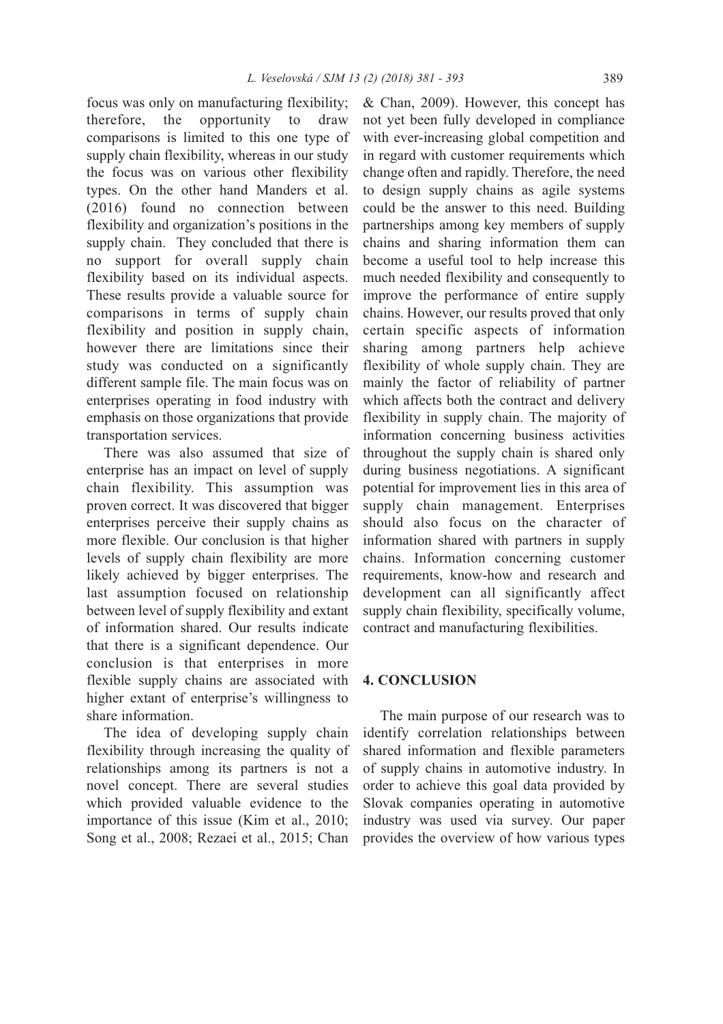focus was only on manufacturing flexibility; therefore, the opportunity to draw comparisons is limited to this one type of supply chain flexibility, whereas in our study the focus was on various other flexibility types. On the other hand Manders et al. (2016) found no connection between flexibility and organization's positions in the supply chain. They concluded that there is no support for overall supply chain flexibility based on its individual aspects. These results provide a valuable source for comparisons in terms of supply chain flexibility and position in supply chain, however there are limitations since their study was conducted on a significantly different sample file. The main focus was on enterprises operating in food industry with emphasis on those organizations that provide transportation services.

There was also assumed that size of enterprise has an impact on level of supply chain flexibility. This assumption was proven correct. It was discovered that bigger enterprises perceive their supply chains as more flexible. Our conclusion is that higher levels of supply chain flexibility are more likely achieved by bigger enterprises. The last assumption focused on relationship between level of supply flexibility and extant of information shared. Our results indicate that there is a significant dependence. Our conclusion is that enterprises in more flexible supply chains are associated with higher extant of enterprise's willingness to share information.

The idea of developing supply chain flexibility through increasing the quality of relationships among its partners is not a novel concept. There are several studies which provided valuable evidence to the importance of this issue (Kim et al., 2010; Song et al., 2008; Rezaei et al., 2015; Chan

& Chan, 2009). However, this concept has not yet been fully developed in compliance with ever-increasing global competition and in regard with customer requirements which change often and rapidly. Therefore, the need to design supply chains as agile systems could be the answer to this need. Building partnerships among key members of supply chains and sharing information them can become a useful tool to help increase this much needed flexibility and consequently to improve the performance of entire supply chains. However, our results proved that only certain specific aspects of information sharing among partners help achieve flexibility of whole supply chain. They are mainly the factor of reliability of partner which affects both the contract and delivery flexibility in supply chain. The majority of information concerning business activities throughout the supply chain is shared only during business negotiations. A significant potential for improvement lies in this area of supply chain management. Enterprises should also focus on the character of information shared with partners in supply chains. Information concerning customer requirements, know-how and research and development can all significantly affect supply chain flexibility, specifically volume, contract and manufacturing flexibilities.

## **4. CoNCLUSioN**

The main purpose of our research was to identify correlation relationships between shared information and flexible parameters of supply chains in automotive industry. In order to achieve this goal data provided by Slovak companies operating in automotive industry was used via survey. Our paper provides the overview of how various types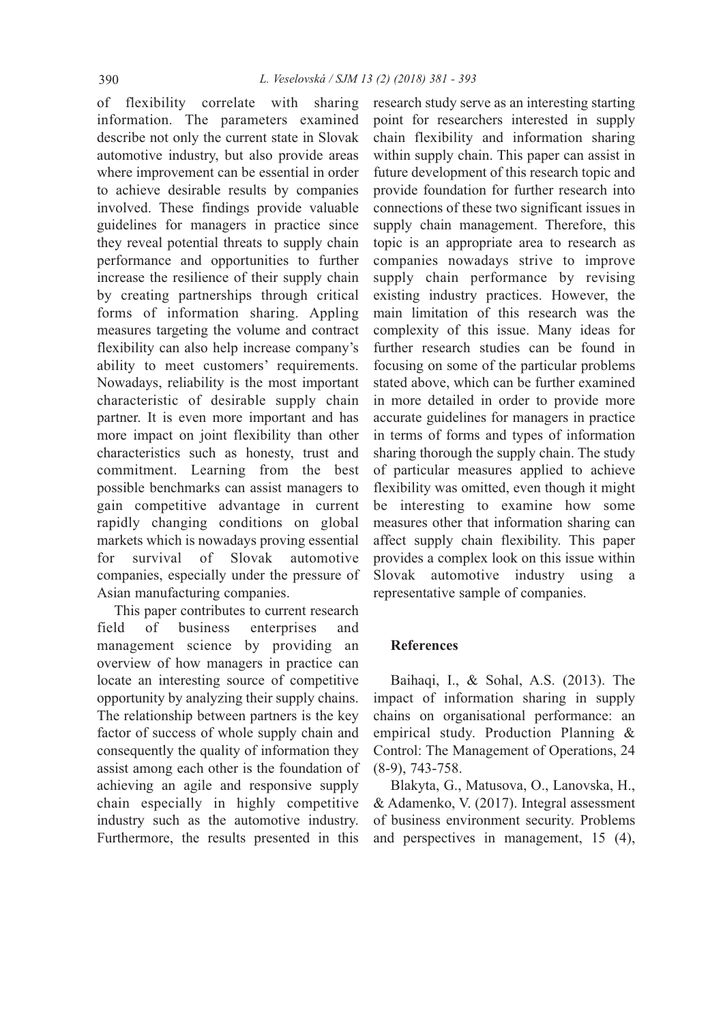of flexibility correlate with sharing information. The parameters examined describe not only the current state in Slovak automotive industry, but also provide areas where improvement can be essential in order to achieve desirable results by companies involved. These findings provide valuable guidelines for managers in practice since they reveal potential threats to supply chain performance and opportunities to further increase the resilience of their supply chain by creating partnerships through critical forms of information sharing. Appling measures targeting the volume and contract flexibility can also help increase company's ability to meet customers' requirements. Nowadays, reliability is the most important characteristic of desirable supply chain partner. It is even more important and has more impact on joint flexibility than other characteristics such as honesty, trust and commitment. Learning from the best possible benchmarks can assist managers to gain competitive advantage in current rapidly changing conditions on global markets which is nowadays proving essential for survival of Slovak automotive companies, especially under the pressure of Asian manufacturing companies.

This paper contributes to current research field of business enterprises and management science by providing an overview of how managers in practice can locate an interesting source of competitive opportunity by analyzing their supply chains. The relationship between partners is the key factor of success of whole supply chain and consequently the quality of information they assist among each other is the foundation of achieving an agile and responsive supply chain especially in highly competitive industry such as the automotive industry. Furthermore, the results presented in this

research study serve as an interesting starting point for researchers interested in supply chain flexibility and information sharing within supply chain. This paper can assist in future development of this research topic and provide foundation for further research into connections of these two significant issues in supply chain management. Therefore, this topic is an appropriate area to research as companies nowadays strive to improve supply chain performance by revising existing industry practices. However, the main limitation of this research was the complexity of this issue. Many ideas for further research studies can be found in focusing on some of the particular problems stated above, which can be further examined in more detailed in order to provide more accurate guidelines for managers in practice in terms of forms and types of information sharing thorough the supply chain. The study of particular measures applied to achieve flexibility was omitted, even though it might be interesting to examine how some measures other that information sharing can affect supply chain flexibility. This paper provides a complex look on this issue within Slovak automotive industry using a representative sample of companies.

## **References**

Baihaqi, I., & Sohal, A.S. (2013). The impact of information sharing in supply chains on organisational performance: an empirical study. Production Planning & Control: The Management of Operations, 24 (8-9), 743-758.

Blakyta, G., Matusova, O., Lanovska, H., & Adamenko, V. (2017). Integral assessment of business environment security. Problems and perspectives in management, 15 (4),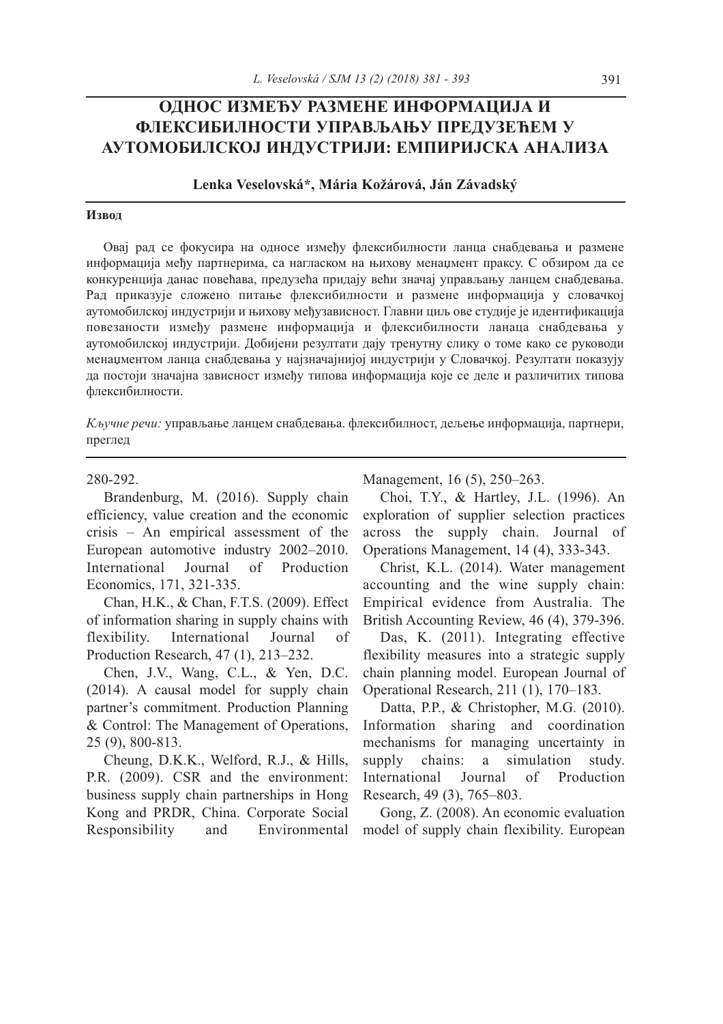## **ОднОс Између размене ИнфОрмацИја И флексИбИлнОстИ управљању предузећем у аутОмОбИлскОј ИндустрИјИ: емпИрИјска аналИза**

#### **Lenka Veselovská\*, Mária Kožárová, Ján Závadský**

#### **Извод**

Овај рад се фокусира на односе између флексибилности ланца снабдевања и размене информација међу партнерима, са нагласком на њихову менаџмент праксу. С обзиром да се конкуренција данас повећава, предузећа придају већи значај управљању ланцем снабдевања. Рад приказује сложено питање флексибилности и размене информација у словачкој аутомобилској индустрији и њихову међузависност. Главни циљ ове студије је идентификација повезаности између размене информација и флексибилности ланаца снабдевања у аутомобилској индустрији. Добијени резултати дају тренутну слику о томе како се руководи менаџментом ланца снабдевања у најзначајнијој индустрији у Словачкој. Pезултати показују да постоји значајна зависност између типова информација које се деле и различитих типова флексибилности.

*Кључне речи:* управљање ланцем снабдевања. флексибилност, дељење информација, партнери, преглед

#### 280-292.

Brandenburg, M. (2016). Supply chain efficiency, value creation and the economic crisis – An empirical assessment of the European automotive industry 2002–2010. International Journal of Production Economics, 171, 321-335.

Chan, H.K., & Chan, F.T.S. (2009). Effect of information sharing in supply chains with flexibility. International Journal of Production Research, 47 (1), 213–232.

Chen, J.V., Wang, C.L., & Yen, D.C. (2014). A causal model for supply chain partner's commitment. Production Planning & Control: The Management of Operations, 25 (9), 800-813.

Cheung, D.K.K., Welford, R.J., & Hills, P.R. (2009). CSR and the environment: business supply chain partnerships in Hong Kong and PRDR, China. Corporate Social Responsibility and Environmental Management, 16 (5), 250–263.

Choi, T.Y., & Hartley, J.L. (1996). An exploration of supplier selection practices across the supply chain. Journal of Operations Management, 14 (4), 333-343.

Christ, K.L. (2014). Water management accounting and the wine supply chain: Empirical evidence from Australia. The British Accounting Review, 46 (4), 379-396.

Das, K. (2011). Integrating effective flexibility measures into a strategic supply chain planning model. European Journal of Operational Research, 211 (1), 170–183.

Datta, P.P., & Christopher, M.G. (2010). Information sharing and coordination mechanisms for managing uncertainty in supply chains: a simulation study. International Journal of Production Research, 49 (3), 765–803.

Gong, Z. (2008). An economic evaluation model of supply chain flexibility. European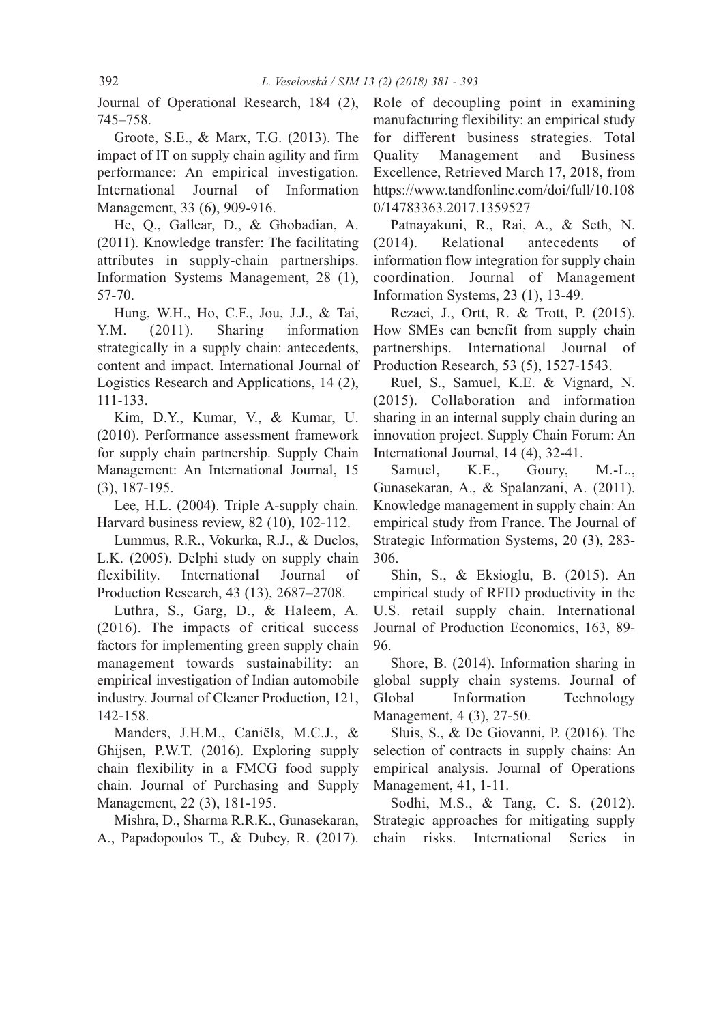Journal of Operational Research, 184 (2), 745–758.

Groote, S.E., & Marx, T.G. (2013). The impact of IT on supply chain agility and firm performance: An empirical investigation. International Journal of Information Management, 33 (6), 909-916.

He, Q., Gallear, D., & Ghobadian, A. (2011). Knowledge transfer: The facilitating attributes in supply-chain partnerships. Information Systems Management, 28 (1), 57-70.

Hung, W.H., Ho, C.F., Jou, J.J., & Tai, Y.M. (2011). Sharing information strategically in a supply chain: antecedents, content and impact. International Journal of Logistics Research and Applications, 14 (2), 111-133.

Kim, D.Y., Kumar, V., & Kumar, U. (2010). Performance assessment framework for supply chain partnership. Supply Chain Management: An International Journal, 15 (3), 187-195.

Lee, H.L. (2004). Triple A-supply chain. Harvard business review, 82 (10), 102-112.

Lummus, R.R., Vokurka, R.J., & Duclos, L.K. (2005). Delphi study on supply chain flexibility. International Journal of Production Research, 43 (13), 2687–2708.

Luthra, S., Garg, D., & Haleem, A. (2016). The impacts of critical success factors for implementing green supply chain management towards sustainability: an empirical investigation of Indian automobile industry. Journal of Cleaner Production, 121, 142-158.

Manders, J.H.M., Caniëls, M.C.J., & Ghijsen, P.W.T. (2016). Exploring supply chain flexibility in a FMCG food supply chain. Journal of Purchasing and Supply Management, 22 (3), 181-195.

Mishra, D., Sharma R.R.K., Gunasekaran, A., Papadopoulos T., & Dubey, R. (2017). Role of decoupling point in examining manufacturing flexibility: an empirical study for different business strategies. Total Quality Management and Business Excellence, Retrieved March 17, 2018, from https://www.tandfonline.com/doi/full/10.108 0/14783363.2017.1359527

Patnayakuni, R., Rai, A., & Seth, N. (2014). Relational antecedents of information flow integration for supply chain coordination. Journal of Management Information Systems, 23 (1), 13-49.

Rezaei, J., Ortt, R. & Trott, P. (2015). How SMEs can benefit from supply chain partnerships. International Journal of Production Research, 53 (5), 1527-1543.

Ruel, S., Samuel, K.E. & Vignard, N. (2015). Collaboration and information sharing in an internal supply chain during an innovation project. Supply Chain Forum: An International Journal, 14 (4), 32-41.

Samuel, K.E., Goury, M.-L., Gunasekaran, A., & Spalanzani, A. (2011). Knowledge management in supply chain: An empirical study from France. The Journal of Strategic Information Systems, 20 (3), 283- 306.

Shin, S., & Eksioglu, B. (2015). An empirical study of RFID productivity in the U.S. retail supply chain. International Journal of Production Economics, 163, 89- 96.

Shore, B. (2014). Information sharing in global supply chain systems. Journal of Global Information Technology Management, 4 (3), 27-50.

Sluis, S., & De Giovanni, P. (2016). The selection of contracts in supply chains: An empirical analysis. Journal of Operations Management, 41, 1-11.

Sodhi, M.S., & Tang, C. S. (2012). Strategic approaches for mitigating supply chain risks. International Series in